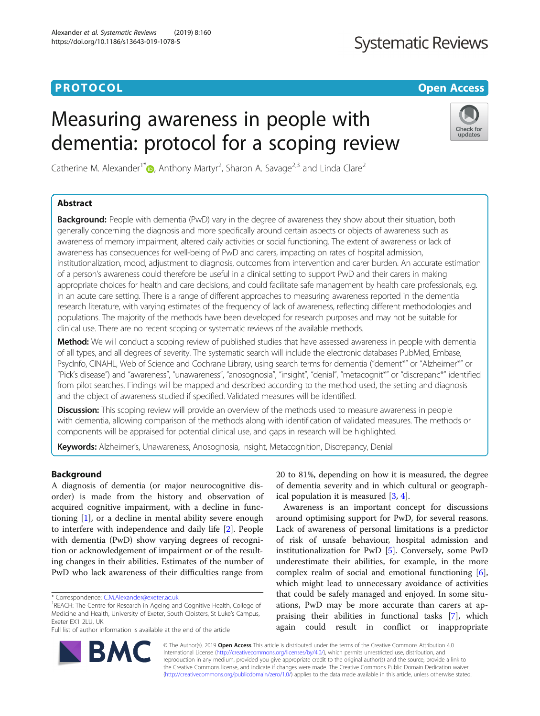# **PROTOCOL CONSUMING THE OPEN ACCESS**

# **Systematic Reviews**

# Measuring awareness in people with dementia: protocol for a scoping review



Catherine M. Alexander<sup>1[\\*](http://orcid.org/0000-0002-0052-9938)</sup> <sub>(b</sub>, Anthony Martyr<sup>2</sup>, Sharon A. Savage<sup>2,3</sup> and Linda Clare<sup>2</sup>

# Abstract

**Background:** People with dementia (PwD) vary in the degree of awareness they show about their situation, both generally concerning the diagnosis and more specifically around certain aspects or objects of awareness such as awareness of memory impairment, altered daily activities or social functioning. The extent of awareness or lack of awareness has consequences for well-being of PwD and carers, impacting on rates of hospital admission, institutionalization, mood, adjustment to diagnosis, outcomes from intervention and carer burden. An accurate estimation of a person's awareness could therefore be useful in a clinical setting to support PwD and their carers in making appropriate choices for health and care decisions, and could facilitate safe management by health care professionals, e.g. in an acute care setting. There is a range of different approaches to measuring awareness reported in the dementia research literature, with varying estimates of the frequency of lack of awareness, reflecting different methodologies and populations. The majority of the methods have been developed for research purposes and may not be suitable for clinical use. There are no recent scoping or systematic reviews of the available methods.

Method: We will conduct a scoping review of published studies that have assessed awareness in people with dementia of all types, and all degrees of severity. The systematic search will include the electronic databases PubMed, Embase, PsycInfo, CINAHL, Web of Science and Cochrane Library, using search terms for dementia ("dement\*" or "Alzheimer\*" or "Pick's disease") and "awareness", "unawareness", "anosognosia", "insight", "denial", "metacognit\*" or "discrepanc\*" identified from pilot searches. Findings will be mapped and described according to the method used, the setting and diagnosis and the object of awareness studied if specified. Validated measures will be identified.

**Discussion:** This scoping review will provide an overview of the methods used to measure awareness in people with dementia, allowing comparison of the methods along with identification of validated measures. The methods or components will be appraised for potential clinical use, and gaps in research will be highlighted.

Keywords: Alzheimer's, Unawareness, Anosognosia, Insight, Metacognition, Discrepancy, Denial

# Background

A diagnosis of dementia (or major neurocognitive disorder) is made from the history and observation of acquired cognitive impairment, with a decline in functioning [\[1](#page-3-0)], or a decline in mental ability severe enough to interfere with independence and daily life [\[2](#page-4-0)]. People with dementia (PwD) show varying degrees of recognition or acknowledgement of impairment or of the resulting changes in their abilities. Estimates of the number of PwD who lack awareness of their difficulties range from

Full list of author information is available at the end of the article

20 to 81%, depending on how it is measured, the degree of dementia severity and in which cultural or geographical population it is measured [\[3](#page-4-0), [4](#page-4-0)].

Awareness is an important concept for discussions around optimising support for PwD, for several reasons. Lack of awareness of personal limitations is a predictor of risk of unsafe behaviour, hospital admission and institutionalization for PwD [\[5\]](#page-4-0). Conversely, some PwD underestimate their abilities, for example, in the more complex realm of social and emotional functioning [\[6](#page-4-0)], which might lead to unnecessary avoidance of activities that could be safely managed and enjoyed. In some situations, PwD may be more accurate than carers at appraising their abilities in functional tasks [[7\]](#page-4-0), which again could result in conflict or inappropriate



© The Author(s). 2019 Open Access This article is distributed under the terms of the Creative Commons Attribution 4.0 International License [\(http://creativecommons.org/licenses/by/4.0/](http://creativecommons.org/licenses/by/4.0/)), which permits unrestricted use, distribution, and reproduction in any medium, provided you give appropriate credit to the original author(s) and the source, provide a link to the Creative Commons license, and indicate if changes were made. The Creative Commons Public Domain Dedication waiver [\(http://creativecommons.org/publicdomain/zero/1.0/](http://creativecommons.org/publicdomain/zero/1.0/)) applies to the data made available in this article, unless otherwise stated.

<sup>\*</sup> Correspondence: [C.M.Alexander@exeter.ac.uk](mailto:C.M.Alexander@exeter.ac.uk) <sup>1</sup>

<sup>&</sup>lt;sup>1</sup>REACH: The Centre for Research in Ageing and Cognitive Health, College of Medicine and Health, University of Exeter, South Cloisters, St Luke's Campus, Exeter EX1 2LU, UK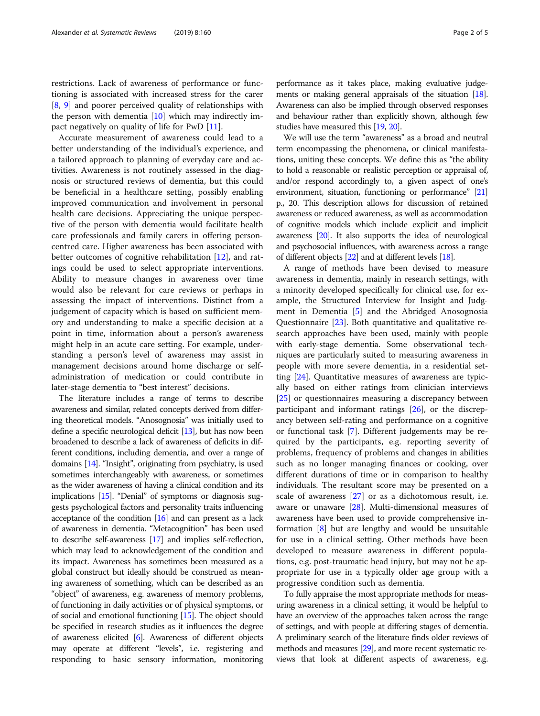restrictions. Lack of awareness of performance or functioning is associated with increased stress for the carer [[8,](#page-4-0) [9](#page-4-0)] and poorer perceived quality of relationships with the person with dementia [[10](#page-4-0)] which may indirectly impact negatively on quality of life for PwD [[11\]](#page-4-0).

Accurate measurement of awareness could lead to a better understanding of the individual's experience, and a tailored approach to planning of everyday care and activities. Awareness is not routinely assessed in the diagnosis or structured reviews of dementia, but this could be beneficial in a healthcare setting, possibly enabling improved communication and involvement in personal health care decisions. Appreciating the unique perspective of the person with dementia would facilitate health care professionals and family carers in offering personcentred care. Higher awareness has been associated with better outcomes of cognitive rehabilitation [\[12\]](#page-4-0), and ratings could be used to select appropriate interventions. Ability to measure changes in awareness over time would also be relevant for care reviews or perhaps in assessing the impact of interventions. Distinct from a judgement of capacity which is based on sufficient memory and understanding to make a specific decision at a point in time, information about a person's awareness might help in an acute care setting. For example, understanding a person's level of awareness may assist in management decisions around home discharge or selfadministration of medication or could contribute in later-stage dementia to "best interest" decisions.

The literature includes a range of terms to describe awareness and similar, related concepts derived from differing theoretical models. "Anosognosia" was initially used to define a specific neurological deficit [\[13](#page-4-0)], but has now been broadened to describe a lack of awareness of deficits in different conditions, including dementia, and over a range of domains [\[14](#page-4-0)]. "Insight", originating from psychiatry, is used sometimes interchangeably with awareness, or sometimes as the wider awareness of having a clinical condition and its implications [\[15\]](#page-4-0). "Denial" of symptoms or diagnosis suggests psychological factors and personality traits influencing acceptance of the condition  $[16]$  and can present as a lack of awareness in dementia. "Metacognition" has been used to describe self-awareness [\[17](#page-4-0)] and implies self-reflection, which may lead to acknowledgement of the condition and its impact. Awareness has sometimes been measured as a global construct but ideally should be construed as meaning awareness of something, which can be described as an "object" of awareness, e.g. awareness of memory problems, of functioning in daily activities or of physical symptoms, or of social and emotional functioning [\[15](#page-4-0)]. The object should be specified in research studies as it influences the degree of awareness elicited [\[6\]](#page-4-0). Awareness of different objects may operate at different "levels", i.e. registering and responding to basic sensory information, monitoring performance as it takes place, making evaluative judgements or making general appraisals of the situation [\[18](#page-4-0)]. Awareness can also be implied through observed responses and behaviour rather than explicitly shown, although few studies have measured this [\[19](#page-4-0), [20](#page-4-0)].

We will use the term "awareness" as a broad and neutral term encompassing the phenomena, or clinical manifestations, uniting these concepts. We define this as "the ability to hold a reasonable or realistic perception or appraisal of, and/or respond accordingly to, a given aspect of one's environment, situation, functioning or performance" [\[21](#page-4-0)] p., 20. This description allows for discussion of retained awareness or reduced awareness, as well as accommodation of cognitive models which include explicit and implicit awareness [\[20](#page-4-0)]. It also supports the idea of neurological and psychosocial influences, with awareness across a range of different objects [\[22\]](#page-4-0) and at different levels [[18](#page-4-0)].

A range of methods have been devised to measure awareness in dementia, mainly in research settings, with a minority developed specifically for clinical use, for example, the Structured Interview for Insight and Judgment in Dementia [[5\]](#page-4-0) and the Abridged Anosognosia Questionnaire [\[23](#page-4-0)]. Both quantitative and qualitative research approaches have been used, mainly with people with early-stage dementia. Some observational techniques are particularly suited to measuring awareness in people with more severe dementia, in a residential setting [\[24](#page-4-0)]. Quantitative measures of awareness are typically based on either ratings from clinician interviews [[25\]](#page-4-0) or questionnaires measuring a discrepancy between participant and informant ratings [[26](#page-4-0)], or the discrepancy between self-rating and performance on a cognitive or functional task [\[7](#page-4-0)]. Different judgements may be required by the participants, e.g. reporting severity of problems, frequency of problems and changes in abilities such as no longer managing finances or cooking, over different durations of time or in comparison to healthy individuals. The resultant score may be presented on a scale of awareness [\[27\]](#page-4-0) or as a dichotomous result, i.e. aware or unaware [\[28](#page-4-0)]. Multi-dimensional measures of awareness have been used to provide comprehensive information [[8\]](#page-4-0) but are lengthy and would be unsuitable for use in a clinical setting. Other methods have been developed to measure awareness in different populations, e.g. post-traumatic head injury, but may not be appropriate for use in a typically older age group with a progressive condition such as dementia.

To fully appraise the most appropriate methods for measuring awareness in a clinical setting, it would be helpful to have an overview of the approaches taken across the range of settings, and with people at differing stages of dementia. A preliminary search of the literature finds older reviews of methods and measures [\[29\]](#page-4-0), and more recent systematic reviews that look at different aspects of awareness, e.g.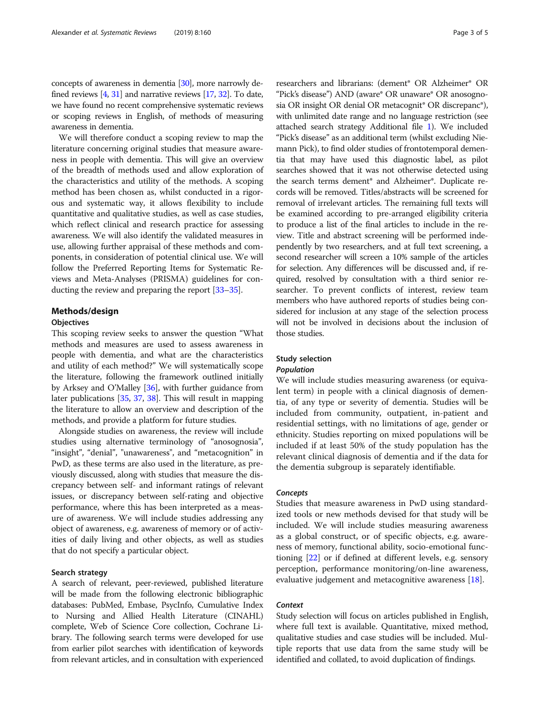concepts of awareness in dementia [\[30\]](#page-4-0), more narrowly defined reviews  $[4, 31]$  $[4, 31]$  $[4, 31]$  $[4, 31]$  and narrative reviews  $[17, 32]$  $[17, 32]$  $[17, 32]$  $[17, 32]$ . To date, we have found no recent comprehensive systematic reviews or scoping reviews in English, of methods of measuring awareness in dementia.

We will therefore conduct a scoping review to map the literature concerning original studies that measure awareness in people with dementia. This will give an overview of the breadth of methods used and allow exploration of the characteristics and utility of the methods. A scoping method has been chosen as, whilst conducted in a rigorous and systematic way, it allows flexibility to include quantitative and qualitative studies, as well as case studies, which reflect clinical and research practice for assessing awareness. We will also identify the validated measures in use, allowing further appraisal of these methods and components, in consideration of potential clinical use. We will follow the Preferred Reporting Items for Systematic Reviews and Meta-Analyses (PRISMA) guidelines for conducting the review and preparing the report [[33](#page-4-0)–[35\]](#page-4-0).

# Methods/design **Objectives**

This scoping review seeks to answer the question "What methods and measures are used to assess awareness in people with dementia, and what are the characteristics and utility of each method?" We will systematically scope the literature, following the framework outlined initially by Arksey and O'Malley [[36](#page-4-0)], with further guidance from later publications [\[35](#page-4-0), [37](#page-4-0), [38\]](#page-4-0). This will result in mapping the literature to allow an overview and description of the methods, and provide a platform for future studies.

Alongside studies on awareness, the review will include studies using alternative terminology of "anosognosia", "insight", "denial", "unawareness", and "metacognition" in PwD, as these terms are also used in the literature, as previously discussed, along with studies that measure the discrepancy between self- and informant ratings of relevant issues, or discrepancy between self-rating and objective performance, where this has been interpreted as a measure of awareness. We will include studies addressing any object of awareness, e.g. awareness of memory or of activities of daily living and other objects, as well as studies that do not specify a particular object.

### Search strategy

A search of relevant, peer-reviewed, published literature will be made from the following electronic bibliographic databases: PubMed, Embase, PsycInfo, Cumulative Index to Nursing and Allied Health Literature (CINAHL) complete, Web of Science Core collection, Cochrane Library. The following search terms were developed for use from earlier pilot searches with identification of keywords from relevant articles, and in consultation with experienced researchers and librarians: (dement\* OR Alzheimer\* OR "Pick's disease") AND (aware\* OR unaware\* OR anosognosia OR insight OR denial OR metacognit\* OR discrepanc\*), with unlimited date range and no language restriction (see attached search strategy Additional file [1\)](#page-3-0). We included "Pick's disease" as an additional term (whilst excluding Niemann Pick), to find older studies of frontotemporal dementia that may have used this diagnostic label, as pilot searches showed that it was not otherwise detected using the search terms dement\* and Alzheimer\*. Duplicate records will be removed. Titles/abstracts will be screened for removal of irrelevant articles. The remaining full texts will be examined according to pre-arranged eligibility criteria to produce a list of the final articles to include in the review. Title and abstract screening will be performed independently by two researchers, and at full text screening, a second researcher will screen a 10% sample of the articles for selection. Any differences will be discussed and, if required, resolved by consultation with a third senior researcher. To prevent conflicts of interest, review team members who have authored reports of studies being considered for inclusion at any stage of the selection process will not be involved in decisions about the inclusion of those studies.

# Study selection

# Population

We will include studies measuring awareness (or equivalent term) in people with a clinical diagnosis of dementia, of any type or severity of dementia. Studies will be included from community, outpatient, in-patient and residential settings, with no limitations of age, gender or ethnicity. Studies reporting on mixed populations will be included if at least 50% of the study population has the relevant clinical diagnosis of dementia and if the data for the dementia subgroup is separately identifiable.

#### **Concepts**

Studies that measure awareness in PwD using standardized tools or new methods devised for that study will be included. We will include studies measuring awareness as a global construct, or of specific objects, e.g. awareness of memory, functional ability, socio-emotional functioning [[22](#page-4-0)] or if defined at different levels, e.g. sensory perception, performance monitoring/on-line awareness, evaluative judgement and metacognitive awareness [\[18](#page-4-0)].

# **Context**

Study selection will focus on articles published in English, where full text is available. Quantitative, mixed method, qualitative studies and case studies will be included. Multiple reports that use data from the same study will be identified and collated, to avoid duplication of findings.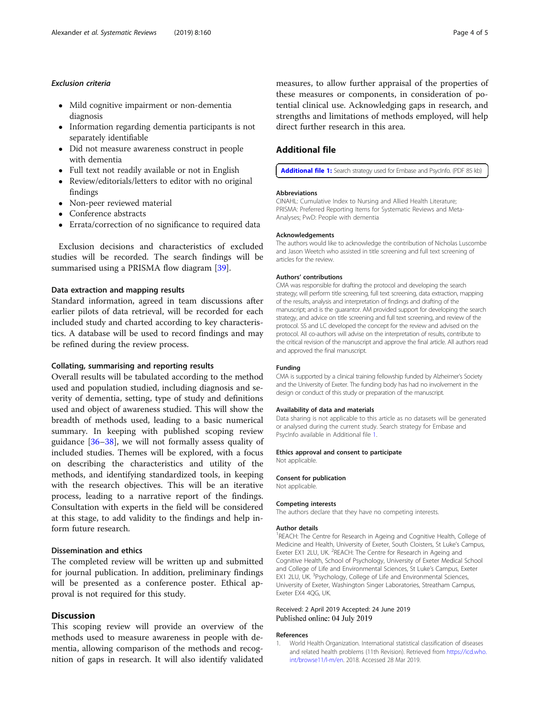- <span id="page-3-0"></span> Mild cognitive impairment or non-dementia diagnosis
- Information regarding dementia participants is not separately identifiable
- Did not measure awareness construct in people with dementia
- Full text not readily available or not in English
- Review/editorials/letters to editor with no original findings
- Non-peer reviewed material
- Conference abstracts
- Errata/correction of no significance to required data

Exclusion decisions and characteristics of excluded studies will be recorded. The search findings will be summarised using a PRISMA flow diagram [[39\]](#page-4-0).

#### Data extraction and mapping results

Standard information, agreed in team discussions after earlier pilots of data retrieval, will be recorded for each included study and charted according to key characteristics. A database will be used to record findings and may be refined during the review process.

# Collating, summarising and reporting results

Overall results will be tabulated according to the method used and population studied, including diagnosis and severity of dementia, setting, type of study and definitions used and object of awareness studied. This will show the breadth of methods used, leading to a basic numerical summary. In keeping with published scoping review guidance [\[36](#page-4-0)–[38\]](#page-4-0), we will not formally assess quality of included studies. Themes will be explored, with a focus on describing the characteristics and utility of the methods, and identifying standardized tools, in keeping with the research objectives. This will be an iterative process, leading to a narrative report of the findings. Consultation with experts in the field will be considered at this stage, to add validity to the findings and help inform future research.

# Dissemination and ethics

The completed review will be written up and submitted for journal publication. In addition, preliminary findings will be presented as a conference poster. Ethical approval is not required for this study.

# **Discussion**

This scoping review will provide an overview of the methods used to measure awareness in people with dementia, allowing comparison of the methods and recognition of gaps in research. It will also identify validated

measures, to allow further appraisal of the properties of these measures or components, in consideration of potential clinical use. Acknowledging gaps in research, and strengths and limitations of methods employed, will help direct further research in this area.

# Additional file

[Additional file 1:](https://doi.org/10.1186/s13643-019-1078-5) Search strategy used for Embase and PsycInfo. (PDF 85 kb)

#### Abbreviations

CINAHL: Cumulative Index to Nursing and Allied Health Literature; PRISMA: Preferred Reporting Items for Systematic Reviews and Meta-Analyses; PwD: People with dementia

#### Acknowledgements

The authors would like to acknowledge the contribution of Nicholas Luscombe and Jason Weetch who assisted in title screening and full text screening of articles for the review.

#### Authors' contributions

CMA was responsible for drafting the protocol and developing the search strategy; will perform title screening, full text screening, data extraction, mapping of the results, analysis and interpretation of findings and drafting of the manuscript; and is the guarantor. AM provided support for developing the search strategy, and advice on title screening and full text screening, and review of the protocol. SS and LC developed the concept for the review and advised on the protocol. All co-authors will advise on the interpretation of results, contribute to the critical revision of the manuscript and approve the final article. All authors read and approved the final manuscript.

#### Funding

CMA is supported by a clinical training fellowship funded by Alzheimer's Society and the University of Exeter. The funding body has had no involvement in the design or conduct of this study or preparation of the manuscript.

#### Availability of data and materials

Data sharing is not applicable to this article as no datasets will be generated or analysed during the current study. Search strategy for Embase and PsycInfo available in Additional file 1.

#### Ethics approval and consent to participate

Not applicable.

# Consent for publication Not applicable.

#### Competing interests

The authors declare that they have no competing interests.

#### Author details

<sup>1</sup>REACH: The Centre for Research in Ageing and Cognitive Health, College of Medicine and Health, University of Exeter, South Cloisters, St Luke's Campus, Exeter EX1 2LU, UK. <sup>2</sup>REACH: The Centre for Research in Ageing and Cognitive Health, School of Psychology, University of Exeter Medical School and College of Life and Environmental Sciences, St Luke's Campus, Exeter EX1 2LU, UK. <sup>3</sup>Psychology, College of Life and Environmental Sciences University of Exeter, Washington Singer Laboratories, Streatham Campus, Exeter EX4 4QG, UK.

#### Received: 2 April 2019 Accepted: 24 June 2019 Published online: 04 July 2019

#### References

1. World Health Organization. International statistical classification of diseases and related health problems (11th Revision). Retrieved from [https://icd.who.](https://icd.who.int/browse11/l-m/en) [int/browse11/l-m/en.](https://icd.who.int/browse11/l-m/en) 2018. Accessed 28 Mar 2019.